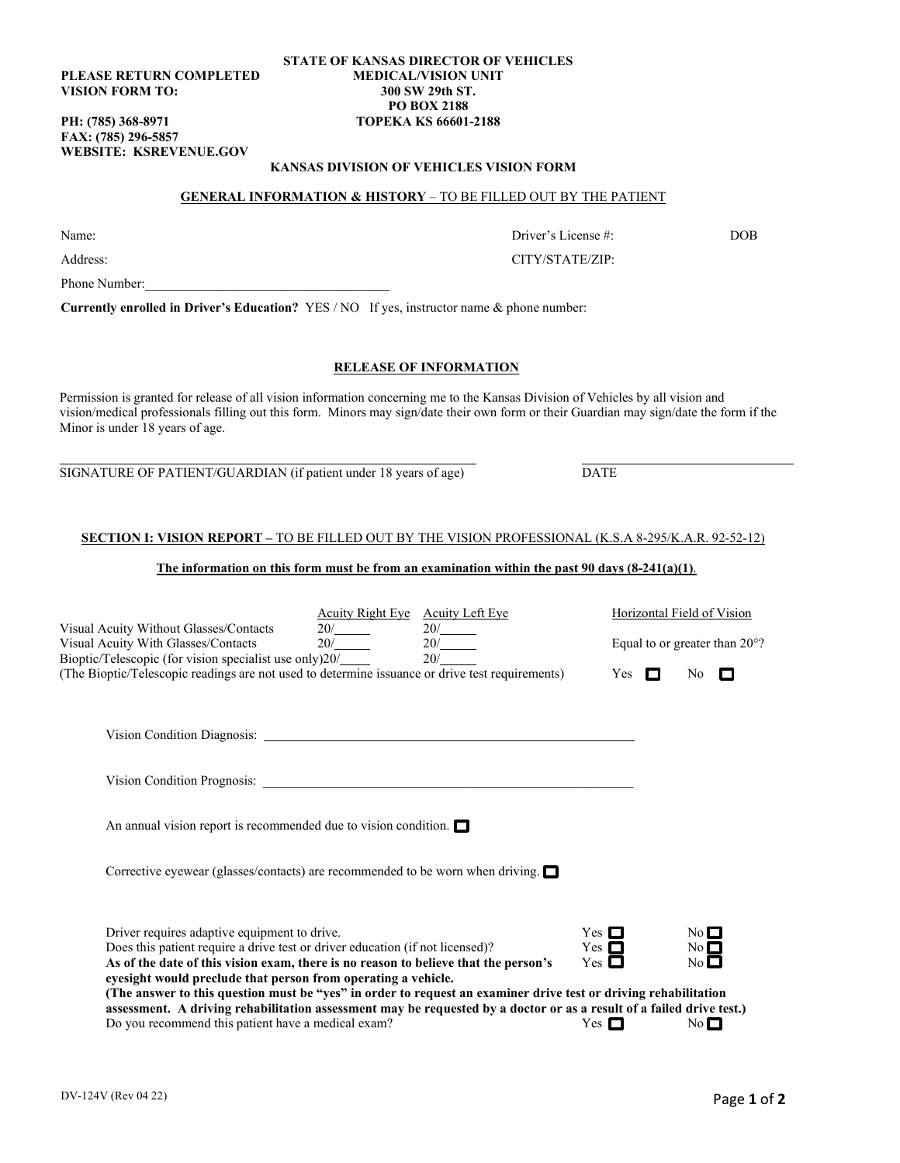**PLEASE RETURN COMPLETED VISION FORM TO:** 

**FAX: (785) 296-5857 WEBSITE: [KSREVENUE.GOV](https://KSREVENUE.GOV)** 

#### **STATE OF KANSAS DIRECTOR OF VEHICLES MEDICAL/VISION UNIT 300 SW 29th ST. PO BOX 2188 PH: (785) 368-8971 TOPEKA KS 66601-2188**

## **GENERAL INFORMATION & HISTORY** – TO BE FILLED OUT BY THE PATIENT **KANSAS DIVISION OF VEHICLES VISION FORM**

### Address: CITY/STATE/ZIP:

**Currently enrolled in Driver's Education?** YES / NO If yes, instructor name & phone number:

#### **RELEASE OF INFORMATION**

 vision/medical professionals filling out this form. Minors may sign/date their own form or their Guardian may sign/date the form if the Minor is under 18 years of age. Permission is granted for release of all vision information concerning me to the Kansas Division of Vehicles by all vision and

SIGNATURE OF PATIENT/GUARDIAN (if patient under 18 years of age) DATE

#### **SECTION I: VISION REPORT –** TO BE FILLED OUT BY THE VISION PROFESSIONAL (K.S.A 8-295/K.A.R. 92-52-12)

#### **The information on this form must be from an examination within the past 90 days (8-241(a)(1)**.

|                                                                                                                                                                                                                                         | Acuity Right Eye Acuity Left Eye | 20/<br>$\frac{20}{20}$ | Horizontal Field of Vision |                                         |                            |
|-----------------------------------------------------------------------------------------------------------------------------------------------------------------------------------------------------------------------------------------|----------------------------------|------------------------|----------------------------|-----------------------------------------|----------------------------|
| Visual Acuity Without Glasses/Contacts<br>Visual Acuity With Glasses/Contacts<br>Bioptic/Telescopic (for vision specialist use only)20/                                                                                                 |                                  |                        |                            | Equal to or greater than $20^{\circ}$ ? |                            |
| (The Bioptic/Telescopic readings are not used to determine issuance or drive test requirements)                                                                                                                                         |                                  |                        | Yes $\Box$                 |                                         | No.<br>-0                  |
|                                                                                                                                                                                                                                         |                                  |                        |                            |                                         |                            |
|                                                                                                                                                                                                                                         |                                  |                        |                            |                                         |                            |
| An annual vision report is recommended due to vision condition. $\Box$                                                                                                                                                                  |                                  |                        |                            |                                         |                            |
| Corrective eyewear (glasses/contacts) are recommended to be worn when driving. $\Box$                                                                                                                                                   |                                  |                        |                            |                                         |                            |
| Driver requires adaptive equipment to drive.                                                                                                                                                                                            |                                  |                        | Yes $\Box$                 |                                         | $No$ $\Box$                |
| Does this patient require a drive test or driver education (if not licensed)?<br>As of the date of this vision exam, there is no reason to believe that the person's                                                                    |                                  |                        | Yes $\Box$<br>$Yes \Box$   |                                         | $No$ $\Box$<br>$No$ $\Box$ |
| eyesight would preclude that person from operating a vehicle.                                                                                                                                                                           |                                  |                        |                            |                                         |                            |
| (The answer to this question must be "yes" in order to request an examiner drive test or driving rehabilitation<br>assessment. A driving rehabilitation assessment may be requested by a doctor or as a result of a failed drive test.) |                                  |                        |                            |                                         |                            |
| Do you recommend this patient have a medical exam?                                                                                                                                                                                      |                                  |                        | Yes $\Box$                 |                                         | No $\square$               |

## Name: Driver's License #: DOB

Phone Number: